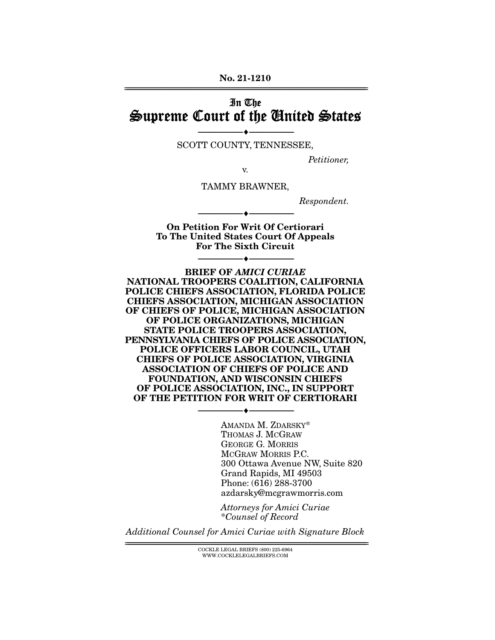## In The Supreme Court of the United States

--------------------------------- ♦ --------------------------------- SCOTT COUNTY, TENNESSEE,

Petitioner,

v. TAMMY BRAWNER,

Respondent.

**On Petition For Writ Of Certiorari To The United States Court Of Appeals For The Sixth Circuit** 

--------------------------------- ♦ ---------------------------------

--------------------------------- ♦ ---------------------------------

**BRIEF OF** *AMICI CURIAE*  **NATIONAL TROOPERS COALITION, CALIFORNIA POLICE CHIEFS ASSOCIATION, FLORIDA POLICE CHIEFS ASSOCIATION, MICHIGAN ASSOCIATION OF CHIEFS OF POLICE, MICHIGAN ASSOCIATION OF POLICE ORGANIZATIONS, MICHIGAN STATE POLICE TROOPERS ASSOCIATION, PENNSYLVANIA CHIEFS OF POLICE ASSOCIATION, POLICE OFFICERS LABOR COUNCIL, UTAH CHIEFS OF POLICE ASSOCIATION, VIRGINIA ASSOCIATION OF CHIEFS OF POLICE AND FOUNDATION, AND WISCONSIN CHIEFS OF POLICE ASSOCIATION, INC., IN SUPPORT OF THE PETITION FOR WRIT OF CERTIORARI** 

--------------------------------- ♦ ---------------------------------

AMANDA M. ZDARSKY\* THOMAS J. MCGRAW GEORGE G. MORRIS MCGRAW MORRIS P.C. 300 Ottawa Avenue NW, Suite 820 Grand Rapids, MI 49503 Phone: (616) 288-3700 azdarsky@mcgrawmorris.com

Attorneys for Amici Curiae \*Counsel of Record

Additional Counsel for Amici Curiae with Signature Block

 $COCKLE LEGAL BRIERS (800) 225-6964$ WWW.COCKLELEGALBRIEFS.COM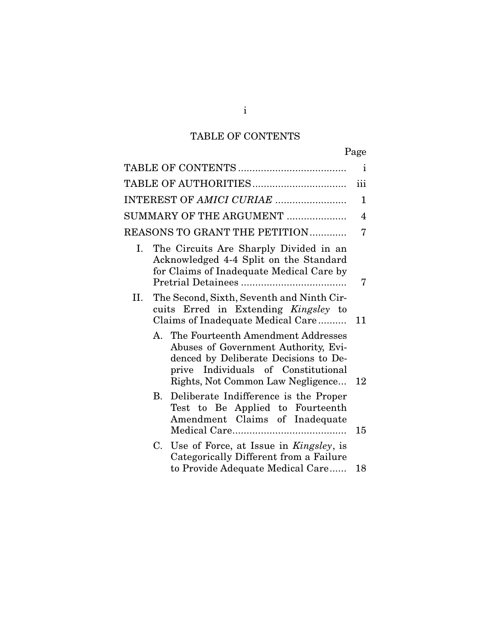# TABLE OF CONTENTS

|--|

|    |                                                                                                                                                                                                    | $\mathbf{i}$   |
|----|----------------------------------------------------------------------------------------------------------------------------------------------------------------------------------------------------|----------------|
|    |                                                                                                                                                                                                    | iii            |
|    |                                                                                                                                                                                                    | $\mathbf{1}$   |
|    | SUMMARY OF THE ARGUMENT                                                                                                                                                                            | $\overline{4}$ |
|    | REASONS TO GRANT THE PETITION                                                                                                                                                                      | 7              |
| Ι. | The Circuits Are Sharply Divided in an<br>Acknowledged 4-4 Split on the Standard<br>for Claims of Inadequate Medical Care by                                                                       | 7              |
| П. | The Second, Sixth, Seventh and Ninth Cir-<br>cuits Erred in Extending Kingsley to<br>Claims of Inadequate Medical Care                                                                             | 11             |
|    | A. The Fourteenth Amendment Addresses<br>Abuses of Government Authority, Evi-<br>denced by Deliberate Decisions to De-<br>prive Individuals of Constitutional<br>Rights, Not Common Law Negligence | 12             |
|    | Deliberate Indifference is the Proper<br>В.<br>Test to Be Applied to Fourteenth<br>Amendment Claims of Inadequate                                                                                  | 15             |
|    | Use of Force, at Issue in Kingsley, is<br>C.<br>Categorically Different from a Failure<br>to Provide Adequate Medical Care                                                                         | 18             |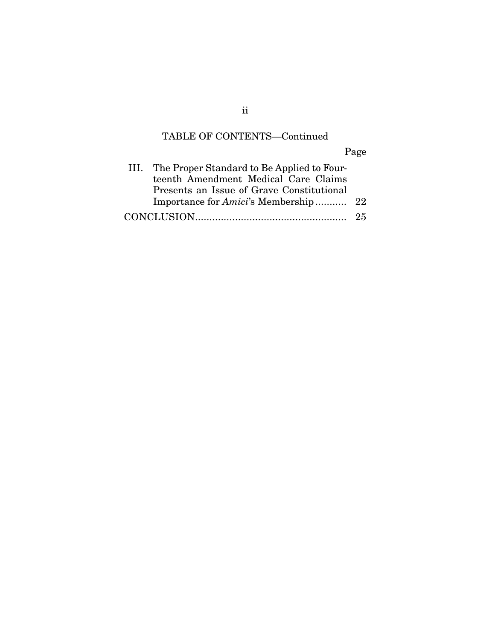# TABLE OF CONTENTS—Continued

Page

| III. The Proper Standard to Be Applied to Four- |    |
|-------------------------------------------------|----|
| teenth Amendment Medical Care Claims            |    |
| Presents an Issue of Grave Constitutional       |    |
|                                                 |    |
|                                                 | 25 |

ii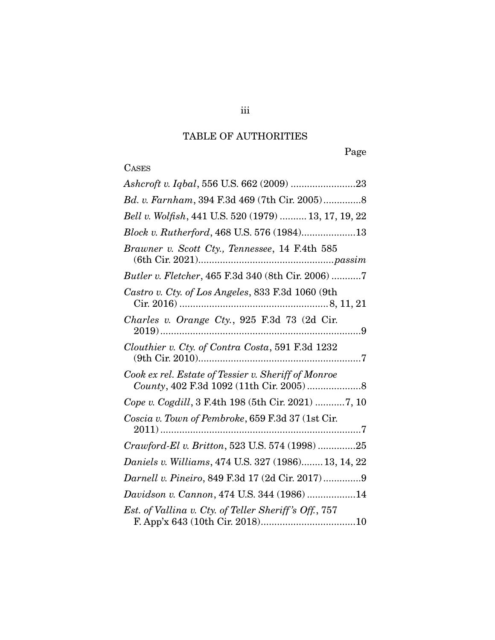## TABLE OF AUTHORITIES

Page

# **CASES**

| Bd. v. Farnham, 394 F.3d 469 (7th Cir. 2005) 8        |
|-------------------------------------------------------|
| Bell v. Wolfish, 441 U.S. 520 (1979)  13, 17, 19, 22  |
| Block v. Rutherford, 468 U.S. 576 (1984)13            |
| Brawner v. Scott Cty., Tennessee, 14 F.4th 585        |
| Butler v. Fletcher, 465 F.3d 340 (8th Cir. 2006) 7    |
| Castro v. Cty. of Los Angeles, 833 F.3d 1060 (9th     |
| Charles v. Orange Cty., 925 F.3d 73 (2d Cir.          |
| Clouthier v. Cty. of Contra Costa, 591 F.3d 1232      |
| Cook ex rel. Estate of Tessier v. Sheriff of Monroe   |
| Cope v. Cogdill, 3 F.4th 198 (5th Cir. 2021) 7, 10    |
| Coscia v. Town of Pembroke, 659 F.3d 37 (1st Cir.     |
| Crawford-El v. Britton, 523 U.S. 574 (1998) 25        |
| Daniels v. Williams, 474 U.S. 327 (1986) 13, 14, 22   |
| Darnell v. Pineiro, 849 F.3d 17 (2d Cir. 2017)9       |
| Davidson v. Cannon, 474 U.S. 344 (1986) 14            |
| Est. of Vallina v. Cty. of Teller Sheriff's Off., 757 |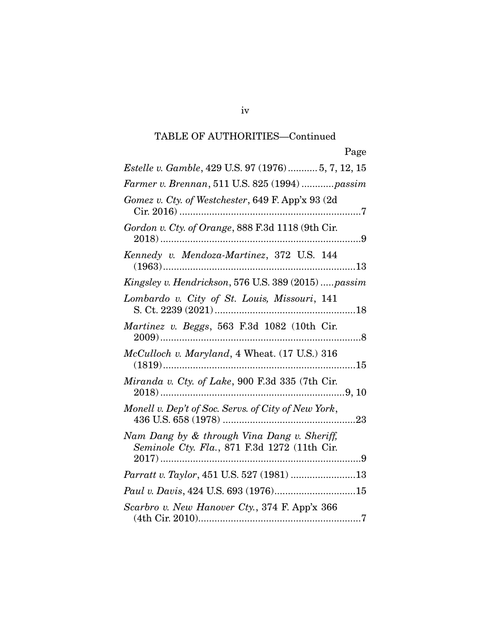## TABLE OF AUTHORITIES—Continued

| Page                                                                                        |
|---------------------------------------------------------------------------------------------|
| Estelle v. Gamble, 429 U.S. 97 (1976) 5, 7, 12, 15                                          |
| Farmer v. Brennan, 511 U.S. 825 (1994) passim                                               |
| Gomez v. Cty. of Westchester, 649 F. App'x 93 (2d)                                          |
| Gordon v. Cty. of Orange, 888 F.3d 1118 (9th Cir.<br>. 9                                    |
| Kennedy v. Mendoza-Martinez, 372 U.S. 144                                                   |
| Kingsley v. Hendrickson, 576 U.S. 389 (2015) passim                                         |
| Lombardo v. City of St. Louis, Missouri, 141                                                |
| Martinez v. Beggs, 563 F.3d 1082 (10th Cir.                                                 |
| McCulloch v. Maryland, 4 Wheat. (17 U.S.) 316<br>$(1819)$                                   |
| Miranda v. Cty. of Lake, 900 F.3d 335 (7th Cir.                                             |
| Monell v. Dep't of Soc. Servs. of City of New York,                                         |
| Nam Dang by & through Vina Dang v. Sheriff,<br>Seminole Cty. Fla., 871 F.3d 1272 (11th Cir. |
|                                                                                             |
|                                                                                             |
| Scarbro v. New Hanover Cty., 374 F. App'x 366                                               |

iv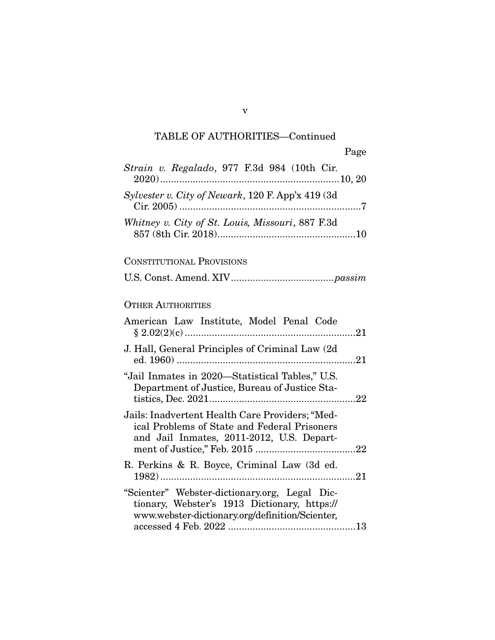# TABLE OF AUTHORITIES—Continued

| Strain v. Regalado, 977 F.3d 984 (10th Cir.                                                                                                      |
|--------------------------------------------------------------------------------------------------------------------------------------------------|
| Sylvester v. City of Newark, 120 F. App'x 419 (3d                                                                                                |
| Whitney v. City of St. Louis, Missouri, 887 F.3d                                                                                                 |
| <b>CONSTITUTIONAL PROVISIONS</b>                                                                                                                 |
|                                                                                                                                                  |
| <b>OTHER AUTHORITIES</b>                                                                                                                         |
| American Law Institute, Model Penal Code                                                                                                         |
| J. Hall, General Principles of Criminal Law (2d                                                                                                  |
| "Jail Inmates in 2020—Statistical Tables," U.S.<br>Department of Justice, Bureau of Justice Sta-                                                 |
| Jails: Inadvertent Health Care Providers; "Med-<br>ical Problems of State and Federal Prisoners<br>and Jail Inmates, 2011-2012, U.S. Depart-     |
| R. Perkins & R. Boyce, Criminal Law (3d ed.                                                                                                      |
| "Scienter" Webster-dictionary.org, Legal Dic-<br>tionary, Webster's 1913 Dictionary, https://<br>www.webster-dictionary.org/definition/Scienter, |

v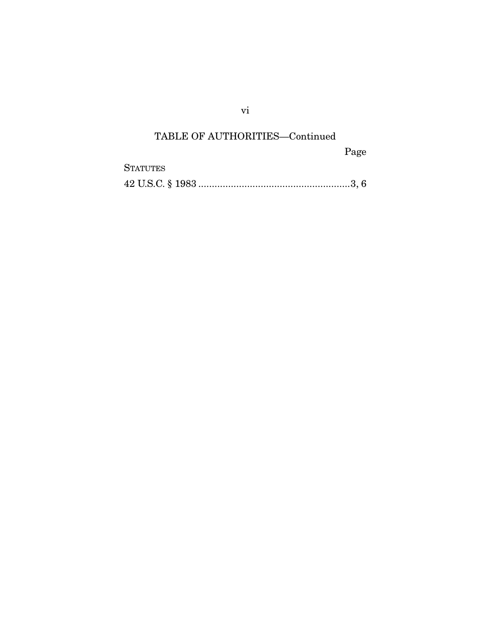TABLE OF AUTHORITIES—Continued

Page

**STATUTES** 

42 U.S.C. § 1983 ........................................................ 3, 6

vi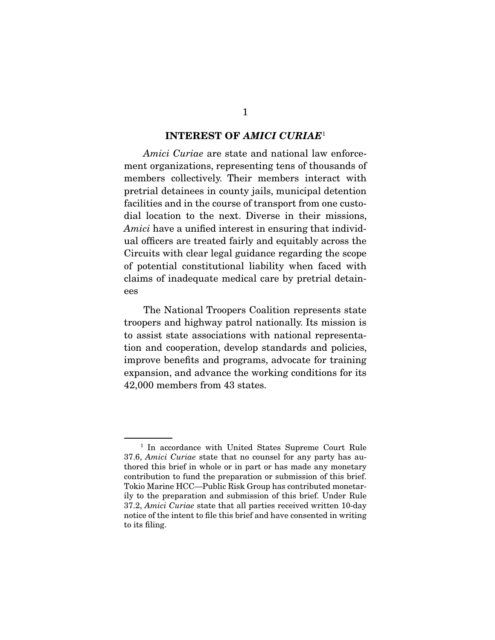#### **INTEREST OF** *AMICI CURIAE*<sup>1</sup>

Amici Curiae are state and national law enforcement organizations, representing tens of thousands of members collectively. Their members interact with pretrial detainees in county jails, municipal detention facilities and in the course of transport from one custodial location to the next. Diverse in their missions, Amici have a unified interest in ensuring that individual officers are treated fairly and equitably across the Circuits with clear legal guidance regarding the scope of potential constitutional liability when faced with claims of inadequate medical care by pretrial detainees

 The National Troopers Coalition represents state troopers and highway patrol nationally. Its mission is to assist state associations with national representation and cooperation, develop standards and policies, improve benefits and programs, advocate for training expansion, and advance the working conditions for its 42,000 members from 43 states.

<sup>&</sup>lt;sup>1</sup> In accordance with United States Supreme Court Rule 37.6, Amici Curiae state that no counsel for any party has authored this brief in whole or in part or has made any monetary contribution to fund the preparation or submission of this brief. Tokio Marine HCC—Public Risk Group has contributed monetarily to the preparation and submission of this brief. Under Rule 37.2, Amici Curiae state that all parties received written 10-day notice of the intent to file this brief and have consented in writing to its filing.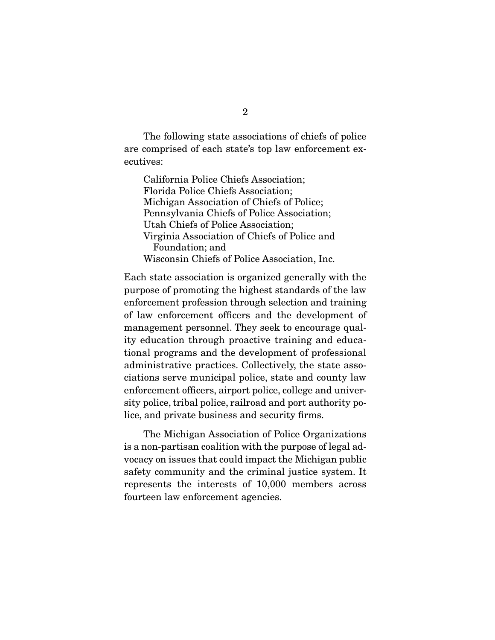The following state associations of chiefs of police are comprised of each state's top law enforcement executives:

California Police Chiefs Association; Florida Police Chiefs Association; Michigan Association of Chiefs of Police; Pennsylvania Chiefs of Police Association; Utah Chiefs of Police Association; Virginia Association of Chiefs of Police and Foundation; and Wisconsin Chiefs of Police Association, Inc.

Each state association is organized generally with the purpose of promoting the highest standards of the law enforcement profession through selection and training of law enforcement officers and the development of management personnel. They seek to encourage quality education through proactive training and educational programs and the development of professional administrative practices. Collectively, the state associations serve municipal police, state and county law enforcement officers, airport police, college and university police, tribal police, railroad and port authority police, and private business and security firms.

 The Michigan Association of Police Organizations is a non-partisan coalition with the purpose of legal advocacy on issues that could impact the Michigan public safety community and the criminal justice system. It represents the interests of 10,000 members across fourteen law enforcement agencies.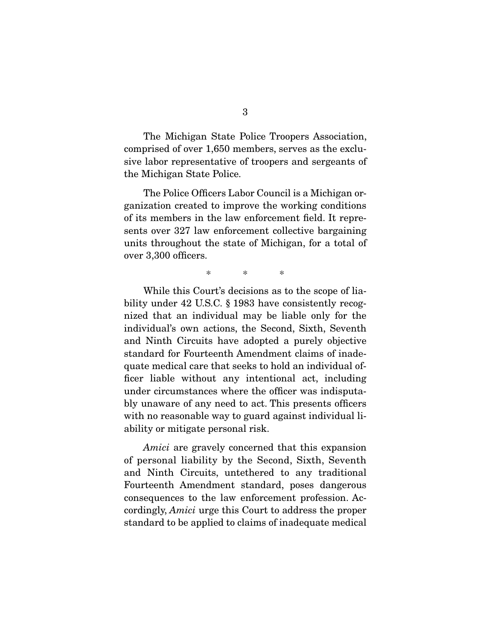The Michigan State Police Troopers Association, comprised of over 1,650 members, serves as the exclusive labor representative of troopers and sergeants of the Michigan State Police.

 The Police Officers Labor Council is a Michigan organization created to improve the working conditions of its members in the law enforcement field. It represents over 327 law enforcement collective bargaining units throughout the state of Michigan, for a total of over 3,300 officers.

\* \* \*

 While this Court's decisions as to the scope of liability under 42 U.S.C. § 1983 have consistently recognized that an individual may be liable only for the individual's own actions, the Second, Sixth, Seventh and Ninth Circuits have adopted a purely objective standard for Fourteenth Amendment claims of inadequate medical care that seeks to hold an individual officer liable without any intentional act, including under circumstances where the officer was indisputably unaware of any need to act. This presents officers with no reasonable way to guard against individual liability or mitigate personal risk.

Amici are gravely concerned that this expansion of personal liability by the Second, Sixth, Seventh and Ninth Circuits, untethered to any traditional Fourteenth Amendment standard, poses dangerous consequences to the law enforcement profession. Accordingly, Amici urge this Court to address the proper standard to be applied to claims of inadequate medical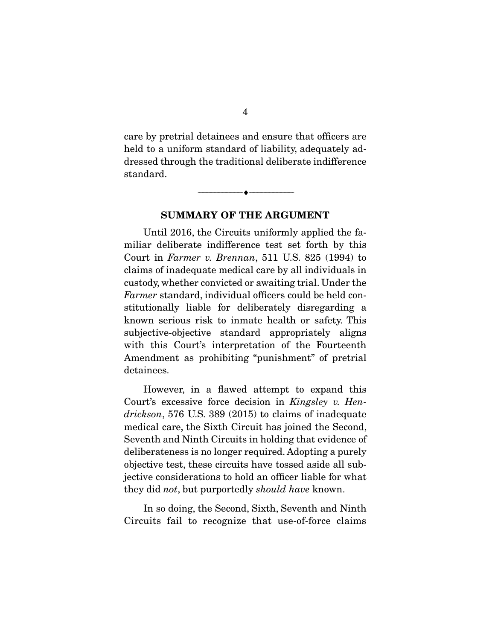care by pretrial detainees and ensure that officers are held to a uniform standard of liability, adequately addressed through the traditional deliberate indifference standard.

#### **SUMMARY OF THE ARGUMENT**

--------------------------------- ♦ ---------------------------------

 Until 2016, the Circuits uniformly applied the familiar deliberate indifference test set forth by this Court in Farmer v. Brennan, 511 U.S. 825 (1994) to claims of inadequate medical care by all individuals in custody, whether convicted or awaiting trial. Under the Farmer standard, individual officers could be held constitutionally liable for deliberately disregarding a known serious risk to inmate health or safety. This subjective-objective standard appropriately aligns with this Court's interpretation of the Fourteenth Amendment as prohibiting "punishment" of pretrial detainees.

 However, in a flawed attempt to expand this Court's excessive force decision in Kingsley v. Hendrickson, 576 U.S. 389 (2015) to claims of inadequate medical care, the Sixth Circuit has joined the Second, Seventh and Ninth Circuits in holding that evidence of deliberateness is no longer required. Adopting a purely objective test, these circuits have tossed aside all subjective considerations to hold an officer liable for what they did not, but purportedly should have known.

 In so doing, the Second, Sixth, Seventh and Ninth Circuits fail to recognize that use-of-force claims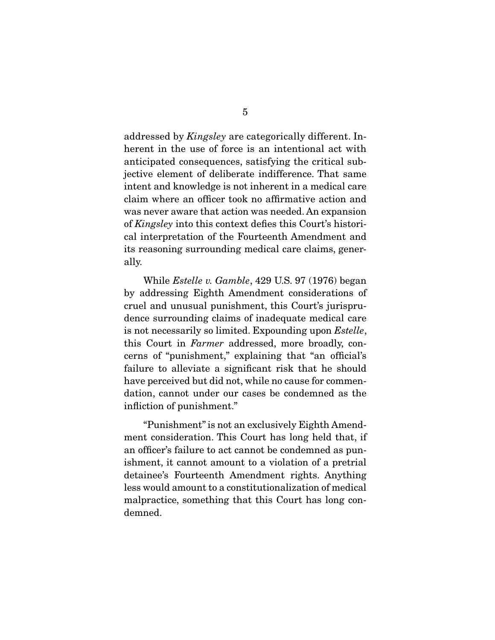addressed by Kingsley are categorically different. Inherent in the use of force is an intentional act with anticipated consequences, satisfying the critical subjective element of deliberate indifference. That same intent and knowledge is not inherent in a medical care claim where an officer took no affirmative action and was never aware that action was needed. An expansion of Kingsley into this context defies this Court's historical interpretation of the Fourteenth Amendment and its reasoning surrounding medical care claims, generally.

 While Estelle v. Gamble, 429 U.S. 97 (1976) began by addressing Eighth Amendment considerations of cruel and unusual punishment, this Court's jurisprudence surrounding claims of inadequate medical care is not necessarily so limited. Expounding upon Estelle, this Court in Farmer addressed, more broadly, concerns of "punishment," explaining that "an official's failure to alleviate a significant risk that he should have perceived but did not, while no cause for commendation, cannot under our cases be condemned as the infliction of punishment."

 "Punishment" is not an exclusively Eighth Amendment consideration. This Court has long held that, if an officer's failure to act cannot be condemned as punishment, it cannot amount to a violation of a pretrial detainee's Fourteenth Amendment rights. Anything less would amount to a constitutionalization of medical malpractice, something that this Court has long condemned.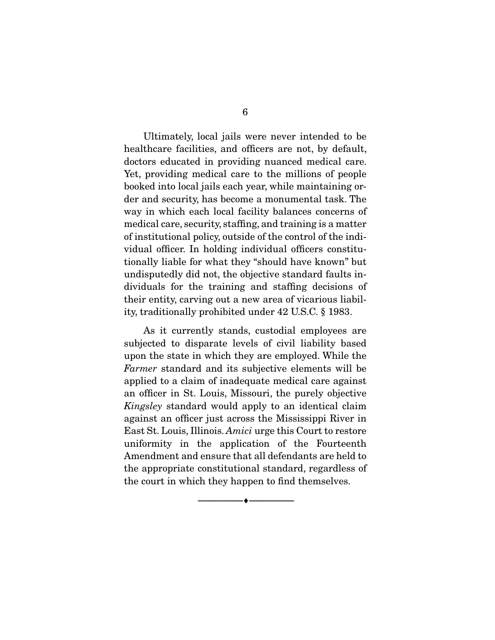Ultimately, local jails were never intended to be healthcare facilities, and officers are not, by default, doctors educated in providing nuanced medical care. Yet, providing medical care to the millions of people booked into local jails each year, while maintaining order and security, has become a monumental task. The way in which each local facility balances concerns of medical care, security, staffing, and training is a matter of institutional policy, outside of the control of the individual officer. In holding individual officers constitutionally liable for what they "should have known" but undisputedly did not, the objective standard faults individuals for the training and staffing decisions of their entity, carving out a new area of vicarious liability, traditionally prohibited under 42 U.S.C. § 1983.

 As it currently stands, custodial employees are subjected to disparate levels of civil liability based upon the state in which they are employed. While the Farmer standard and its subjective elements will be applied to a claim of inadequate medical care against an officer in St. Louis, Missouri, the purely objective Kingsley standard would apply to an identical claim against an officer just across the Mississippi River in East St. Louis, Illinois. Amici urge this Court to restore uniformity in the application of the Fourteenth Amendment and ensure that all defendants are held to the appropriate constitutional standard, regardless of the court in which they happen to find themselves.

--------------------------------- ♦ ---------------------------------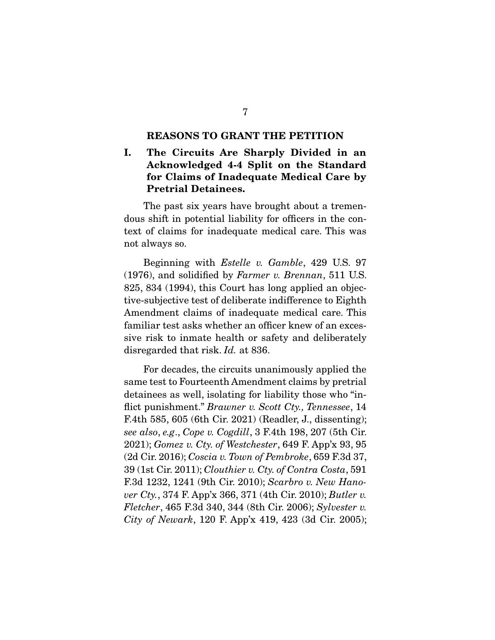#### **REASONS TO GRANT THE PETITION**

### **I. The Circuits Are Sharply Divided in an Acknowledged 4-4 Split on the Standard for Claims of Inadequate Medical Care by Pretrial Detainees.**

 The past six years have brought about a tremendous shift in potential liability for officers in the context of claims for inadequate medical care. This was not always so.

 Beginning with Estelle v. Gamble, 429 U.S. 97 (1976), and solidified by Farmer v. Brennan, 511 U.S. 825, 834 (1994), this Court has long applied an objective-subjective test of deliberate indifference to Eighth Amendment claims of inadequate medical care. This familiar test asks whether an officer knew of an excessive risk to inmate health or safety and deliberately disregarded that risk. Id. at 836.

 For decades, the circuits unanimously applied the same test to Fourteenth Amendment claims by pretrial detainees as well, isolating for liability those who "inflict punishment." *Brawner v. Scott Cty., Tennessee*, 14 F.4th 585, 605 (6th Cir. 2021) (Readler, J., dissenting); see also, e.g., Cope v. Cogdill, 3 F.4th 198, 207 (5th Cir. 2021); Gomez v. Cty. of Westchester, 649 F. App'x 93, 95 (2d Cir. 2016); Coscia v. Town of Pembroke, 659 F.3d 37, 39 (1st Cir. 2011); Clouthier v. Cty. of Contra Costa, 591 F.3d 1232, 1241 (9th Cir. 2010); Scarbro v. New Hanover Cty., 374 F. App'x 366, 371 (4th Cir. 2010); Butler v. Fletcher, 465 F.3d 340, 344 (8th Cir. 2006); Sylvester v. City of Newark, 120 F. App'x 419, 423 (3d Cir. 2005);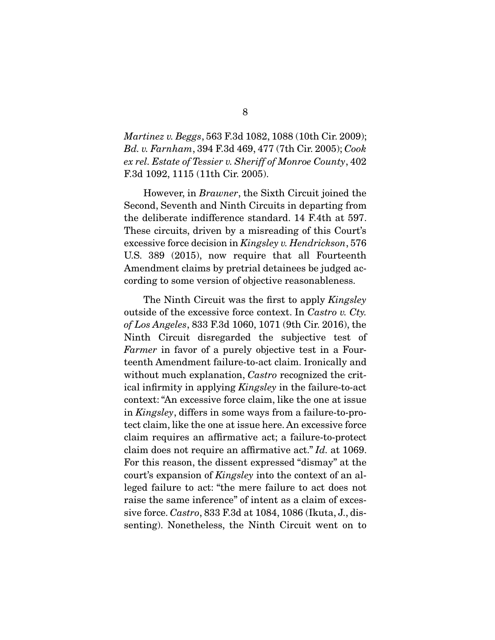Martinez v. Beggs, 563 F.3d 1082, 1088 (10th Cir. 2009); Bd. v. Farnham, 394 F.3d 469, 477 (7th Cir. 2005); Cook ex rel. Estate of Tessier v. Sheriff of Monroe County, 402 F.3d 1092, 1115 (11th Cir. 2005).

 However, in Brawner, the Sixth Circuit joined the Second, Seventh and Ninth Circuits in departing from the deliberate indifference standard. 14 F.4th at 597. These circuits, driven by a misreading of this Court's excessive force decision in Kingsley v. Hendrickson, 576 U.S. 389 (2015), now require that all Fourteenth Amendment claims by pretrial detainees be judged according to some version of objective reasonableness.

The Ninth Circuit was the first to apply *Kingsley* outside of the excessive force context. In Castro v. Cty. of Los Angeles, 833 F.3d 1060, 1071 (9th Cir. 2016), the Ninth Circuit disregarded the subjective test of Farmer in favor of a purely objective test in a Fourteenth Amendment failure-to-act claim. Ironically and without much explanation, *Castro* recognized the critical infirmity in applying Kingsley in the failure-to-act context: "An excessive force claim, like the one at issue in Kingsley, differs in some ways from a failure-to-protect claim, like the one at issue here. An excessive force claim requires an affirmative act; a failure-to-protect claim does not require an affirmative act." Id. at 1069. For this reason, the dissent expressed "dismay" at the court's expansion of Kingsley into the context of an alleged failure to act: "the mere failure to act does not raise the same inference" of intent as a claim of excessive force. Castro, 833 F.3d at 1084, 1086 (Ikuta, J., dissenting). Nonetheless, the Ninth Circuit went on to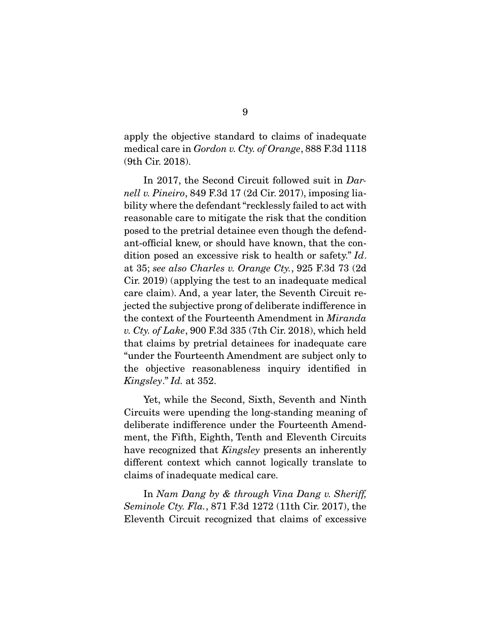apply the objective standard to claims of inadequate medical care in Gordon v. Cty. of Orange, 888 F.3d 1118 (9th Cir. 2018).

In 2017, the Second Circuit followed suit in Darnell v. Pineiro, 849 F.3d 17 (2d Cir. 2017), imposing liability where the defendant "recklessly failed to act with reasonable care to mitigate the risk that the condition posed to the pretrial detainee even though the defendant-official knew, or should have known, that the condition posed an excessive risk to health or safety." Id. at 35; see also Charles v. Orange Cty., 925 F.3d 73 (2d Cir. 2019) (applying the test to an inadequate medical care claim). And, a year later, the Seventh Circuit rejected the subjective prong of deliberate indifference in the context of the Fourteenth Amendment in Miranda v. Cty. of Lake, 900 F.3d 335 (7th Cir. 2018), which held that claims by pretrial detainees for inadequate care "under the Fourteenth Amendment are subject only to the objective reasonableness inquiry identified in Kingsley." Id. at 352.

 Yet, while the Second, Sixth, Seventh and Ninth Circuits were upending the long-standing meaning of deliberate indifference under the Fourteenth Amendment, the Fifth, Eighth, Tenth and Eleventh Circuits have recognized that *Kingsley* presents an inherently different context which cannot logically translate to claims of inadequate medical care.

 In Nam Dang by & through Vina Dang v. Sheriff, Seminole Cty. Fla., 871 F.3d 1272 (11th Cir. 2017), the Eleventh Circuit recognized that claims of excessive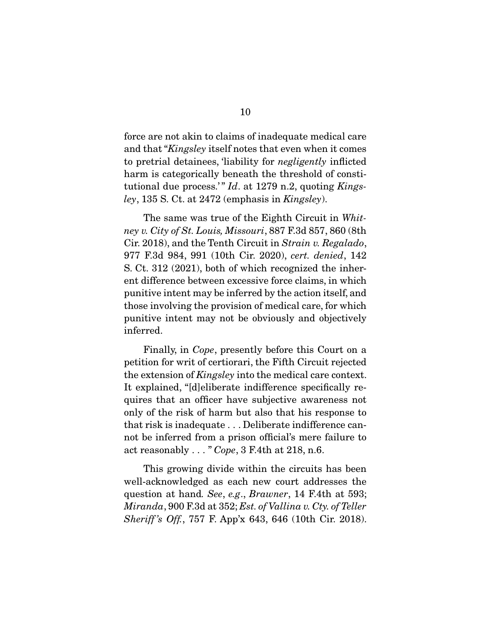force are not akin to claims of inadequate medical care and that "Kingsley itself notes that even when it comes to pretrial detainees, 'liability for negligently inflicted harm is categorically beneath the threshold of constitutional due process.'"  $Id$ . at 1279 n.2, quoting Kingsley, 135 S. Ct. at 2472 (emphasis in Kingsley).

The same was true of the Eighth Circuit in Whitney v. City of St. Louis, Missouri, 887 F.3d 857, 860 (8th Cir. 2018), and the Tenth Circuit in Strain v. Regalado, 977 F.3d 984, 991 (10th Cir. 2020), cert. denied, 142 S. Ct. 312 (2021), both of which recognized the inherent difference between excessive force claims, in which punitive intent may be inferred by the action itself, and those involving the provision of medical care, for which punitive intent may not be obviously and objectively inferred.

 Finally, in Cope, presently before this Court on a petition for writ of certiorari, the Fifth Circuit rejected the extension of Kingsley into the medical care context. It explained, "[d]eliberate indifference specifically requires that an officer have subjective awareness not only of the risk of harm but also that his response to that risk is inadequate . . . Deliberate indifference cannot be inferred from a prison official's mere failure to act reasonably  $\ldots$  " Cope, 3 F.4th at 218, n.6.

 This growing divide within the circuits has been well-acknowledged as each new court addresses the question at hand. See, e.g., Brawner, 14 F.4th at 593; Miranda, 900 F.3d at 352; Est. of Vallina v. Cty. of Teller Sheriff's Off., 757 F. App'x 643, 646 (10th Cir. 2018).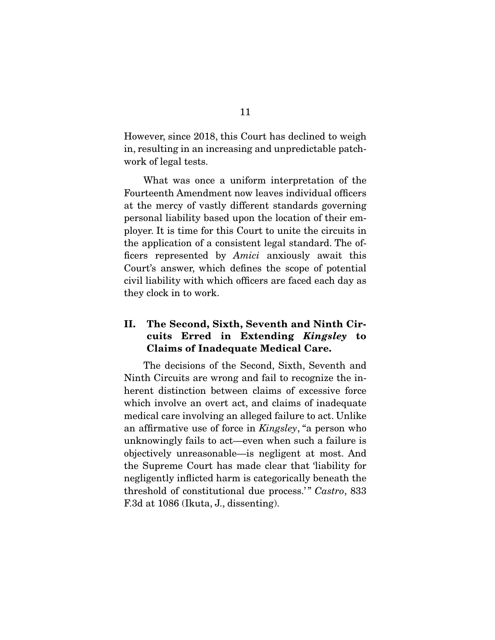However, since 2018, this Court has declined to weigh in, resulting in an increasing and unpredictable patchwork of legal tests.

 What was once a uniform interpretation of the Fourteenth Amendment now leaves individual officers at the mercy of vastly different standards governing personal liability based upon the location of their employer. It is time for this Court to unite the circuits in the application of a consistent legal standard. The officers represented by Amici anxiously await this Court's answer, which defines the scope of potential civil liability with which officers are faced each day as they clock in to work.

### **II. The Second, Sixth, Seventh and Ninth Circuits Erred in Extending** *Kingsley* **to Claims of Inadequate Medical Care.**

 The decisions of the Second, Sixth, Seventh and Ninth Circuits are wrong and fail to recognize the inherent distinction between claims of excessive force which involve an overt act, and claims of inadequate medical care involving an alleged failure to act. Unlike an affirmative use of force in Kingsley, "a person who unknowingly fails to act—even when such a failure is objectively unreasonable—is negligent at most. And the Supreme Court has made clear that 'liability for negligently inflicted harm is categorically beneath the threshold of constitutional due process.'" Castro, 833 F.3d at 1086 (Ikuta, J., dissenting).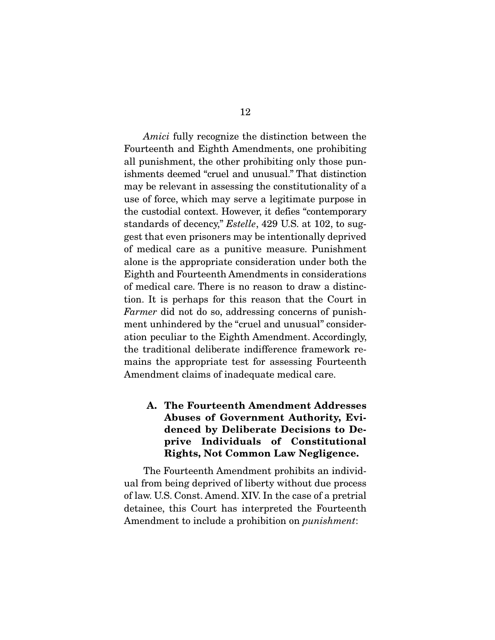Amici fully recognize the distinction between the Fourteenth and Eighth Amendments, one prohibiting all punishment, the other prohibiting only those punishments deemed "cruel and unusual." That distinction may be relevant in assessing the constitutionality of a use of force, which may serve a legitimate purpose in the custodial context. However, it defies "contemporary standards of decency," Estelle, 429 U.S. at 102, to suggest that even prisoners may be intentionally deprived of medical care as a punitive measure. Punishment alone is the appropriate consideration under both the Eighth and Fourteenth Amendments in considerations of medical care. There is no reason to draw a distinction. It is perhaps for this reason that the Court in Farmer did not do so, addressing concerns of punishment unhindered by the "cruel and unusual" consideration peculiar to the Eighth Amendment. Accordingly, the traditional deliberate indifference framework remains the appropriate test for assessing Fourteenth Amendment claims of inadequate medical care.

## **A. The Fourteenth Amendment Addresses Abuses of Government Authority, Evidenced by Deliberate Decisions to Deprive Individuals of Constitutional Rights, Not Common Law Negligence.**

 The Fourteenth Amendment prohibits an individual from being deprived of liberty without due process of law. U.S. Const. Amend. XIV. In the case of a pretrial detainee, this Court has interpreted the Fourteenth Amendment to include a prohibition on punishment: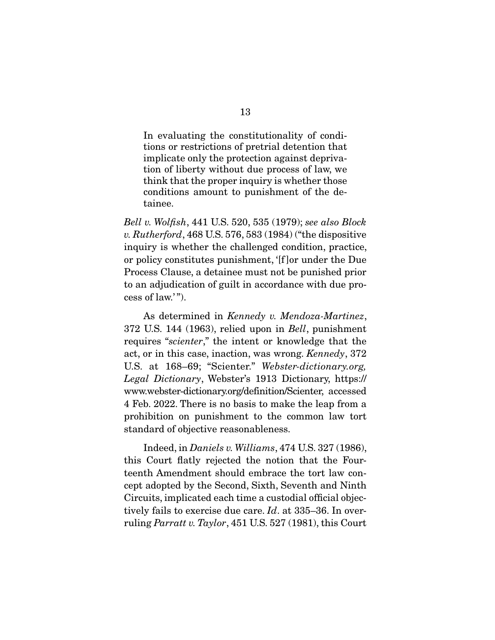In evaluating the constitutionality of conditions or restrictions of pretrial detention that implicate only the protection against deprivation of liberty without due process of law, we think that the proper inquiry is whether those conditions amount to punishment of the detainee.

Bell v. Wolfish, 441 U.S. 520, 535 (1979); see also Block v. Rutherford, 468 U.S. 576, 583 (1984) ("the dispositive inquiry is whether the challenged condition, practice, or policy constitutes punishment, '[f ]or under the Due Process Clause, a detainee must not be punished prior to an adjudication of guilt in accordance with due process of law.'").

As determined in Kennedy v. Mendoza-Martinez, 372 U.S. 144 (1963), relied upon in Bell, punishment requires "scienter," the intent or knowledge that the act, or in this case, inaction, was wrong. Kennedy, 372 U.S. at 168–69; "Scienter." Webster-dictionary.org, Legal Dictionary, Webster's 1913 Dictionary, https:// www.webster-dictionary.org/definition/Scienter, accessed 4 Feb. 2022. There is no basis to make the leap from a prohibition on punishment to the common law tort standard of objective reasonableness.

 Indeed, in Daniels v. Williams, 474 U.S. 327 (1986), this Court flatly rejected the notion that the Fourteenth Amendment should embrace the tort law concept adopted by the Second, Sixth, Seventh and Ninth Circuits, implicated each time a custodial official objectively fails to exercise due care. *Id.* at 335–36. In overruling *Parratt v. Taylor*, 451 U.S. 527 (1981), this Court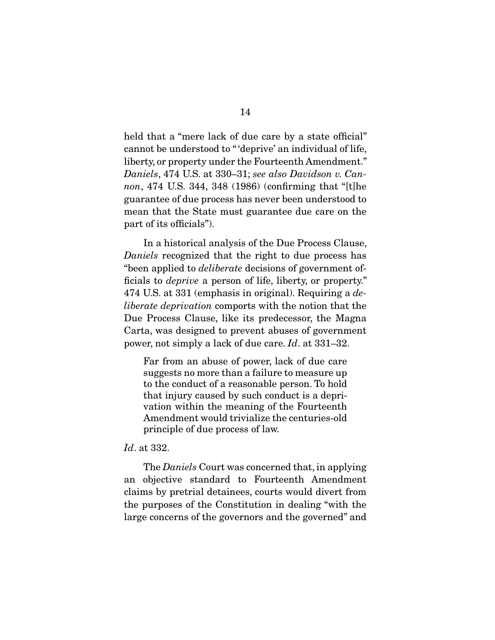held that a "mere lack of due care by a state official" cannot be understood to " 'deprive' an individual of life, liberty, or property under the Fourteenth Amendment." Daniels, 474 U.S. at 330–31; see also Davidson v. Cannon, 474 U.S. 344, 348 (1986) (confirming that "[t]he guarantee of due process has never been understood to mean that the State must guarantee due care on the part of its officials").

 In a historical analysis of the Due Process Clause, Daniels recognized that the right to due process has "been applied to deliberate decisions of government officials to deprive a person of life, liberty, or property." 474 U.S. at 331 (emphasis in original). Requiring a  $de$ liberate deprivation comports with the notion that the Due Process Clause, like its predecessor, the Magna Carta, was designed to prevent abuses of government power, not simply a lack of due care. Id. at 331–32.

Far from an abuse of power, lack of due care suggests no more than a failure to measure up to the conduct of a reasonable person. To hold that injury caused by such conduct is a deprivation within the meaning of the Fourteenth Amendment would trivialize the centuries-old principle of due process of law.

#### Id. at 332.

The *Daniels* Court was concerned that, in applying an objective standard to Fourteenth Amendment claims by pretrial detainees, courts would divert from the purposes of the Constitution in dealing "with the large concerns of the governors and the governed" and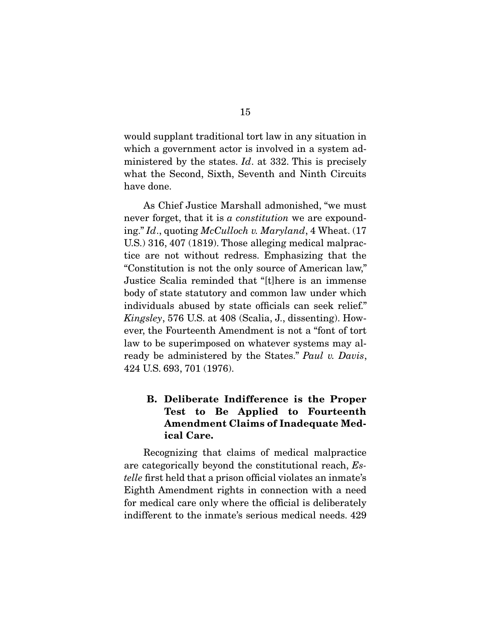would supplant traditional tort law in any situation in which a government actor is involved in a system administered by the states. *Id.* at 332. This is precisely what the Second, Sixth, Seventh and Ninth Circuits have done.

 As Chief Justice Marshall admonished, "we must never forget, that it is a constitution we are expounding." Id., quoting McCulloch v. Maryland, 4 Wheat. (17 U.S.) 316, 407 (1819). Those alleging medical malpractice are not without redress. Emphasizing that the "Constitution is not the only source of American law," Justice Scalia reminded that "[t]here is an immense body of state statutory and common law under which individuals abused by state officials can seek relief." Kingsley, 576 U.S. at 408 (Scalia, J., dissenting). However, the Fourteenth Amendment is not a "font of tort law to be superimposed on whatever systems may already be administered by the States." Paul v. Davis, 424 U.S. 693, 701 (1976).

### **B. Deliberate Indifference is the Proper Test to Be Applied to Fourteenth Amendment Claims of Inadequate Medical Care.**

 Recognizing that claims of medical malpractice are categorically beyond the constitutional reach, Estelle first held that a prison official violates an inmate's Eighth Amendment rights in connection with a need for medical care only where the official is deliberately indifferent to the inmate's serious medical needs. 429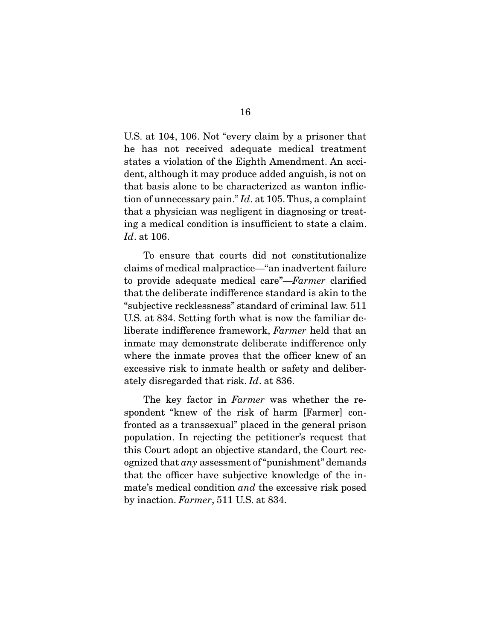U.S. at 104, 106. Not "every claim by a prisoner that he has not received adequate medical treatment states a violation of the Eighth Amendment. An accident, although it may produce added anguish, is not on that basis alone to be characterized as wanton infliction of unnecessary pain."  $Id$  at 105. Thus, a complaint that a physician was negligent in diagnosing or treating a medical condition is insufficient to state a claim. Id. at 106.

 To ensure that courts did not constitutionalize claims of medical malpractice—"an inadvertent failure to provide adequate medical care"—Farmer clarified that the deliberate indifference standard is akin to the "subjective recklessness" standard of criminal law. 511 U.S. at 834. Setting forth what is now the familiar deliberate indifference framework, Farmer held that an inmate may demonstrate deliberate indifference only where the inmate proves that the officer knew of an excessive risk to inmate health or safety and deliberately disregarded that risk. Id. at 836.

The key factor in Farmer was whether the respondent "knew of the risk of harm [Farmer] confronted as a transsexual" placed in the general prison population. In rejecting the petitioner's request that this Court adopt an objective standard, the Court recognized that any assessment of "punishment" demands that the officer have subjective knowledge of the inmate's medical condition and the excessive risk posed by inaction. Farmer, 511 U.S. at 834.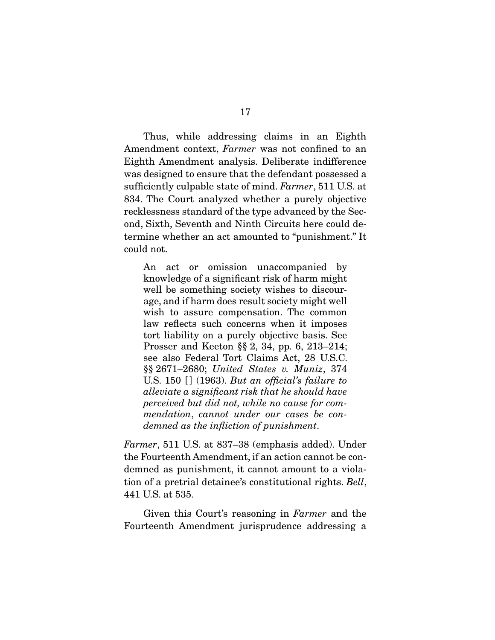Thus, while addressing claims in an Eighth Amendment context, Farmer was not confined to an Eighth Amendment analysis. Deliberate indifference was designed to ensure that the defendant possessed a sufficiently culpable state of mind. Farmer, 511 U.S. at 834. The Court analyzed whether a purely objective recklessness standard of the type advanced by the Second, Sixth, Seventh and Ninth Circuits here could determine whether an act amounted to "punishment." It could not.

An act or omission unaccompanied by knowledge of a significant risk of harm might well be something society wishes to discourage, and if harm does result society might well wish to assure compensation. The common law reflects such concerns when it imposes tort liability on a purely objective basis. See Prosser and Keeton §§ 2, 34, pp. 6, 213–214; see also Federal Tort Claims Act, 28 U.S.C. §§ 2671–2680; United States v. Muniz, 374 U.S. 150  $[$   $]$  (1963). But an official's failure to alleviate a significant risk that he should have perceived but did not, while no cause for commendation, cannot under our cases be condemned as the infliction of punishment.

Farmer, 511 U.S. at 837–38 (emphasis added). Under the Fourteenth Amendment, if an action cannot be condemned as punishment, it cannot amount to a violation of a pretrial detainee's constitutional rights. Bell, 441 U.S. at 535.

 Given this Court's reasoning in Farmer and the Fourteenth Amendment jurisprudence addressing a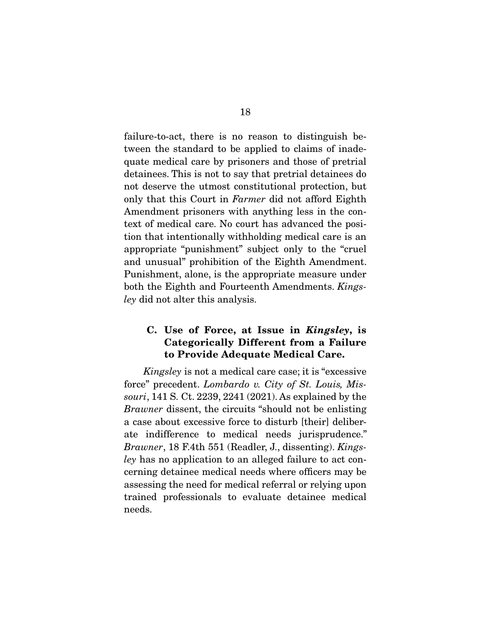failure-to-act, there is no reason to distinguish between the standard to be applied to claims of inadequate medical care by prisoners and those of pretrial detainees. This is not to say that pretrial detainees do not deserve the utmost constitutional protection, but only that this Court in Farmer did not afford Eighth Amendment prisoners with anything less in the context of medical care. No court has advanced the position that intentionally withholding medical care is an appropriate "punishment" subject only to the "cruel and unusual" prohibition of the Eighth Amendment. Punishment, alone, is the appropriate measure under both the Eighth and Fourteenth Amendments. Kingsley did not alter this analysis.

### **C. Use of Force, at Issue in** *Kingsley***, is Categorically Different from a Failure to Provide Adequate Medical Care.**

Kingsley is not a medical care case; it is "excessive force" precedent. Lombardo v. City of St. Louis, Missouri, 141 S. Ct. 2239, 2241 (2021). As explained by the Brawner dissent, the circuits "should not be enlisting a case about excessive force to disturb [their] deliberate indifference to medical needs jurisprudence." Brawner, 18 F.4th 551 (Readler, J., dissenting). Kingsley has no application to an alleged failure to act concerning detainee medical needs where officers may be assessing the need for medical referral or relying upon trained professionals to evaluate detainee medical needs.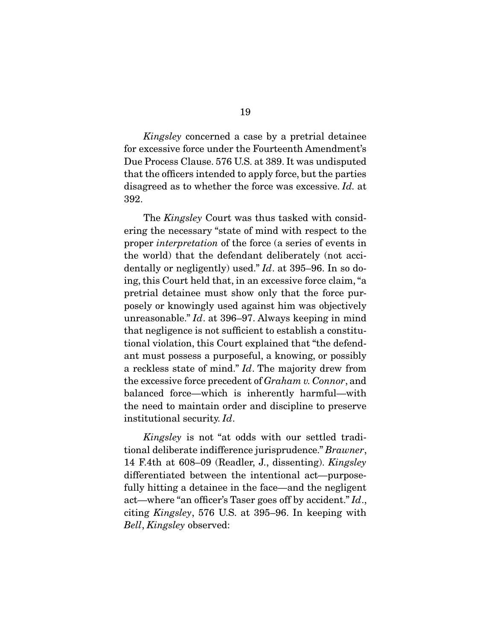Kingsley concerned a case by a pretrial detainee for excessive force under the Fourteenth Amendment's Due Process Clause. 576 U.S. at 389. It was undisputed that the officers intended to apply force, but the parties disagreed as to whether the force was excessive. Id. at 392.

 The Kingsley Court was thus tasked with considering the necessary "state of mind with respect to the proper interpretation of the force (a series of events in the world) that the defendant deliberately (not accidentally or negligently) used." *Id.* at 395–96. In so doing, this Court held that, in an excessive force claim, "a pretrial detainee must show only that the force purposely or knowingly used against him was objectively unreasonable." Id. at 396–97. Always keeping in mind that negligence is not sufficient to establish a constitutional violation, this Court explained that "the defendant must possess a purposeful, a knowing, or possibly a reckless state of mind." Id. The majority drew from the excessive force precedent of Graham v. Connor, and balanced force—which is inherently harmful—with the need to maintain order and discipline to preserve institutional security. Id.

Kingsley is not "at odds with our settled traditional deliberate indifference jurisprudence." Brawner, 14 F.4th at 608–09 (Readler, J., dissenting). Kingsley differentiated between the intentional act—purposefully hitting a detainee in the face—and the negligent act—where "an officer's Taser goes off by accident." Id., citing Kingsley, 576 U.S. at 395–96. In keeping with Bell, Kingsley observed: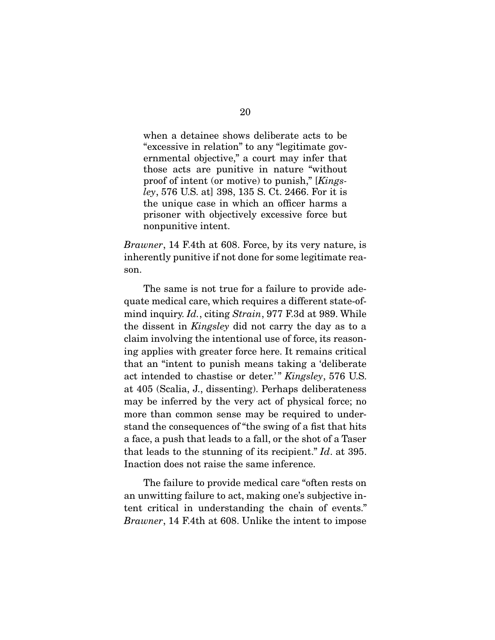when a detainee shows deliberate acts to be "excessive in relation" to any "legitimate governmental objective," a court may infer that those acts are punitive in nature "without proof of intent (or motive) to punish," [Kingsley, 576 U.S. at] 398, 135 S. Ct. 2466. For it is the unique case in which an officer harms a prisoner with objectively excessive force but nonpunitive intent.

Brawner, 14 F.4th at 608. Force, by its very nature, is inherently punitive if not done for some legitimate reason.

 The same is not true for a failure to provide adequate medical care, which requires a different state-ofmind inquiry. Id., citing Strain, 977 F.3d at 989. While the dissent in Kingsley did not carry the day as to a claim involving the intentional use of force, its reasoning applies with greater force here. It remains critical that an "intent to punish means taking a 'deliberate act intended to chastise or deter.'" Kingsley, 576 U.S. at 405 (Scalia, J., dissenting). Perhaps deliberateness may be inferred by the very act of physical force; no more than common sense may be required to understand the consequences of "the swing of a fist that hits a face, a push that leads to a fall, or the shot of a Taser that leads to the stunning of its recipient." Id. at 395. Inaction does not raise the same inference.

 The failure to provide medical care "often rests on an unwitting failure to act, making one's subjective intent critical in understanding the chain of events." Brawner, 14 F.4th at 608. Unlike the intent to impose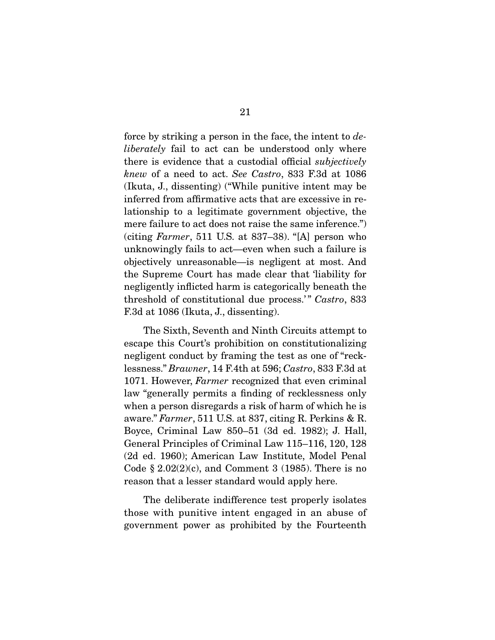force by striking a person in the face, the intent to deliberately fail to act can be understood only where there is evidence that a custodial official subjectively knew of a need to act. See Castro, 833 F.3d at 1086 (Ikuta, J., dissenting) ("While punitive intent may be inferred from affirmative acts that are excessive in relationship to a legitimate government objective, the mere failure to act does not raise the same inference.") (citing Farmer, 511 U.S. at  $837-38$ ). "[A] person who unknowingly fails to act—even when such a failure is objectively unreasonable—is negligent at most. And the Supreme Court has made clear that 'liability for negligently inflicted harm is categorically beneath the threshold of constitutional due process.'" Castro, 833 F.3d at 1086 (Ikuta, J., dissenting).

 The Sixth, Seventh and Ninth Circuits attempt to escape this Court's prohibition on constitutionalizing negligent conduct by framing the test as one of "recklessness." Brawner, 14 F.4th at 596; Castro, 833 F.3d at 1071. However, Farmer recognized that even criminal law "generally permits a finding of recklessness only when a person disregards a risk of harm of which he is aware." Farmer, 511 U.S. at 837, citing R. Perkins & R. Boyce, Criminal Law 850–51 (3d ed. 1982); J. Hall, General Principles of Criminal Law 115–116, 120, 128 (2d ed. 1960); American Law Institute, Model Penal Code  $\S 2.02(2)(c)$ , and Comment 3 (1985). There is no reason that a lesser standard would apply here.

 The deliberate indifference test properly isolates those with punitive intent engaged in an abuse of government power as prohibited by the Fourteenth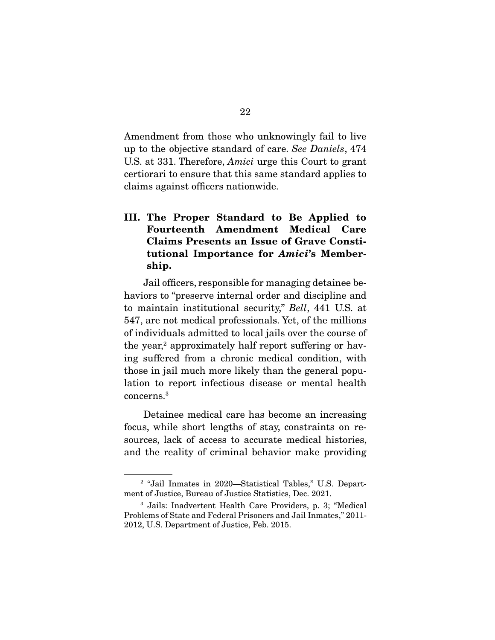Amendment from those who unknowingly fail to live up to the objective standard of care. See Daniels, 474 U.S. at 331. Therefore, Amici urge this Court to grant certiorari to ensure that this same standard applies to claims against officers nationwide.

## **III. The Proper Standard to Be Applied to Fourteenth Amendment Medical Care Claims Presents an Issue of Grave Constitutional Importance for** *Amici***'s Membership.**

 Jail officers, responsible for managing detainee behaviors to "preserve internal order and discipline and to maintain institutional security," Bell, 441 U.S. at 547, are not medical professionals. Yet, of the millions of individuals admitted to local jails over the course of the year,<sup>2</sup> approximately half report suffering or having suffered from a chronic medical condition, with those in jail much more likely than the general population to report infectious disease or mental health concerns.3

 Detainee medical care has become an increasing focus, while short lengths of stay, constraints on resources, lack of access to accurate medical histories, and the reality of criminal behavior make providing

<sup>2</sup> "Jail Inmates in 2020—Statistical Tables," U.S. Department of Justice, Bureau of Justice Statistics, Dec. 2021.

<sup>3</sup> Jails: Inadvertent Health Care Providers, p. 3; "Medical Problems of State and Federal Prisoners and Jail Inmates," 2011- 2012, U.S. Department of Justice, Feb. 2015.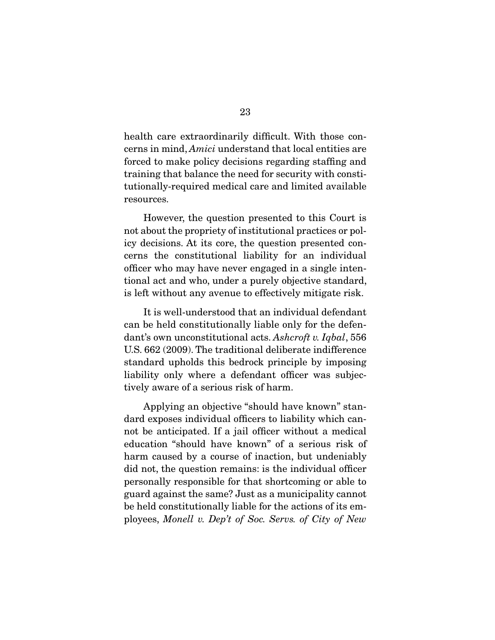health care extraordinarily difficult. With those concerns in mind, Amici understand that local entities are forced to make policy decisions regarding staffing and training that balance the need for security with constitutionally-required medical care and limited available resources.

 However, the question presented to this Court is not about the propriety of institutional practices or policy decisions. At its core, the question presented concerns the constitutional liability for an individual officer who may have never engaged in a single intentional act and who, under a purely objective standard, is left without any avenue to effectively mitigate risk.

 It is well-understood that an individual defendant can be held constitutionally liable only for the defendant's own unconstitutional acts. Ashcroft v. Iqbal, 556 U.S. 662 (2009). The traditional deliberate indifference standard upholds this bedrock principle by imposing liability only where a defendant officer was subjectively aware of a serious risk of harm.

 Applying an objective "should have known" standard exposes individual officers to liability which cannot be anticipated. If a jail officer without a medical education "should have known" of a serious risk of harm caused by a course of inaction, but undeniably did not, the question remains: is the individual officer personally responsible for that shortcoming or able to guard against the same? Just as a municipality cannot be held constitutionally liable for the actions of its employees, Monell v. Dep't of Soc. Servs. of City of New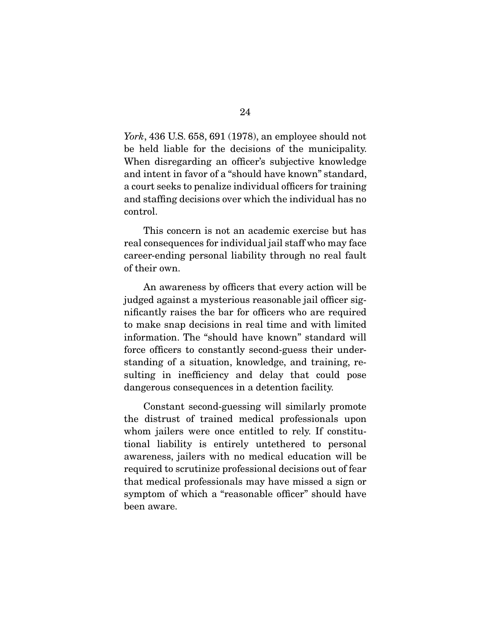York, 436 U.S. 658, 691 (1978), an employee should not be held liable for the decisions of the municipality. When disregarding an officer's subjective knowledge and intent in favor of a "should have known" standard, a court seeks to penalize individual officers for training and staffing decisions over which the individual has no control.

 This concern is not an academic exercise but has real consequences for individual jail staff who may face career-ending personal liability through no real fault of their own.

 An awareness by officers that every action will be judged against a mysterious reasonable jail officer significantly raises the bar for officers who are required to make snap decisions in real time and with limited information. The "should have known" standard will force officers to constantly second-guess their understanding of a situation, knowledge, and training, resulting in inefficiency and delay that could pose dangerous consequences in a detention facility.

 Constant second-guessing will similarly promote the distrust of trained medical professionals upon whom jailers were once entitled to rely. If constitutional liability is entirely untethered to personal awareness, jailers with no medical education will be required to scrutinize professional decisions out of fear that medical professionals may have missed a sign or symptom of which a "reasonable officer" should have been aware.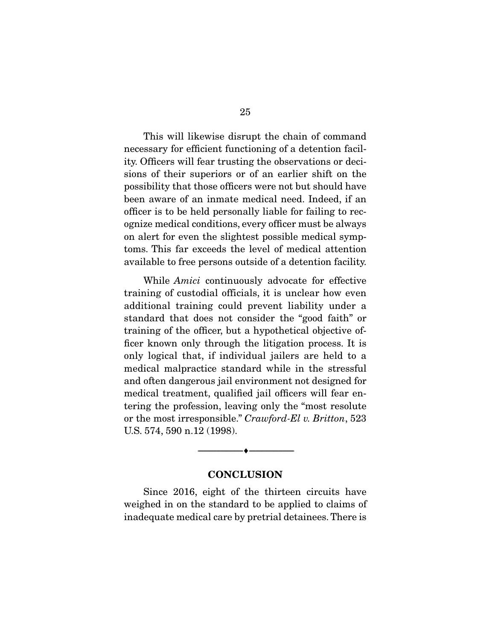This will likewise disrupt the chain of command necessary for efficient functioning of a detention facility. Officers will fear trusting the observations or decisions of their superiors or of an earlier shift on the possibility that those officers were not but should have been aware of an inmate medical need. Indeed, if an officer is to be held personally liable for failing to recognize medical conditions, every officer must be always on alert for even the slightest possible medical symptoms. This far exceeds the level of medical attention available to free persons outside of a detention facility.

 While Amici continuously advocate for effective training of custodial officials, it is unclear how even additional training could prevent liability under a standard that does not consider the "good faith" or training of the officer, but a hypothetical objective officer known only through the litigation process. It is only logical that, if individual jailers are held to a medical malpractice standard while in the stressful and often dangerous jail environment not designed for medical treatment, qualified jail officers will fear entering the profession, leaving only the "most resolute or the most irresponsible." Crawford-El v. Britton, 523 U.S. 574, 590 n.12 (1998).

#### **CONCLUSION**

--------------------------------- ♦ ---------------------------------

 Since 2016, eight of the thirteen circuits have weighed in on the standard to be applied to claims of inadequate medical care by pretrial detainees. There is